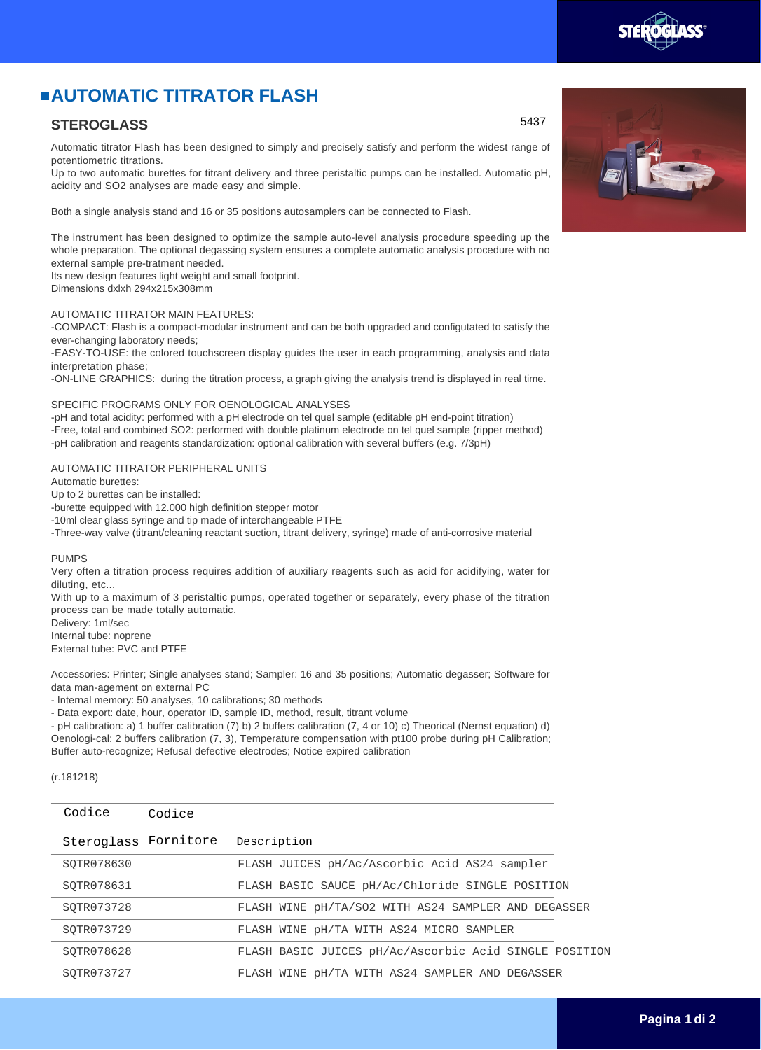# **AUTOMATIC TITRATOR FLASH**

### **STEROGLASS**

Automatic titrator Flash has been designed to simply and precisely satisfy and perform the widest range of potentiometric titrations.

Up to two automatic burettes for titrant delivery and three peristaltic pumps can be installed. Automatic pH, acidity and SO2 analyses are made easy and simple.

Both a single analysis stand and 16 or 35 positions autosamplers can be connected to Flash.

The instrument has been designed to optimize the sample auto-level analysis procedure speeding up the whole preparation. The optional degassing system ensures a complete automatic analysis procedure with no external sample pre-tratment needed.

Its new design features light weight and small footprint. Dimensions dxlxh 294x215x308mm

## AUTOMATIC TITRATOR MAIN FEATURES:

-COMPACT: Flash is a compact-modular instrument and can be both upgraded and configutated to satisfy the ever-changing laboratory needs;

-EASY-TO-USE: the colored touchscreen display guides the user in each programming, analysis and data interpretation phase;

-ON-LINE GRAPHICS: during the titration process, a graph giving the analysis trend is displayed in real time.

#### SPECIFIC PROGRAMS ONLY FOR OENOLOGICAL ANALYSES

-pH and total acidity: performed with a pH electrode on tel quel sample (editable pH end-point titration) -Free, total and combined SO2: performed with double platinum electrode on tel quel sample (ripper method) -pH calibration and reagents standardization: optional calibration with several buffers (e.g. 7/3pH)

#### AUTOMATIC TITRATOR PERIPHERAL UNITS

Automatic burettes:

Up to 2 burettes can be installed:

-burette equipped with 12.000 high definition stepper motor

-10ml clear glass syringe and tip made of interchangeable PTFE

-Three-way valve (titrant/cleaning reactant suction, titrant delivery, syringe) made of anti-corrosive material

#### PUMPS

Very often a titration process requires addition of auxiliary reagents such as acid for acidifying, water for diluting, etc...

With up to a maximum of 3 peristaltic pumps, operated together or separately, every phase of the titration process can be made totally automatic.

Delivery: 1ml/sec

Internal tube: noprene External tube: PVC and PTFE

Accessories: Printer; Single analyses stand; Sampler: 16 and 35 positions; Automatic degasser; Software for data man-agement on external PC

- Internal memory: 50 analyses, 10 calibrations; 30 methods

- Data export: date, hour, operator ID, sample ID, method, result, titrant volume

- pH calibration: a) 1 buffer calibration (7) b) 2 buffers calibration (7, 4 or 10) c) Theorical (Nernst equation) d) Oenologi-cal: 2 buffers calibration (7, 3), Temperature compensation with pt100 probe during pH Calibration; Buffer auto-recognize; Refusal defective electrodes; Notice expired calibration

(r.181218)

| Codice               | Codice |                                                        |
|----------------------|--------|--------------------------------------------------------|
| Steroglass Fornitore |        | Description                                            |
| SOTR078630           |        | FLASH JUICES pH/Ac/Ascorbic Acid AS24 sampler          |
| SOTR078631           |        | FLASH BASIC SAUCE pH/Ac/Chloride SINGLE POSITION       |
| SOTR073728           |        | FLASH WINE pH/TA/SO2 WITH AS24 SAMPLER AND DEGASSER    |
| SOTR073729           |        | FLASH WINE pH/TA WITH AS24 MICRO SAMPLER               |
| SOTR078628           |        | FLASH BASIC JUICES pH/Ac/Ascorbic Acid SINGLE POSITION |
| SOTR073727           |        | FLASH WINE pH/TA WITH AS24 SAMPLER AND DEGASSER        |
|                      |        |                                                        |